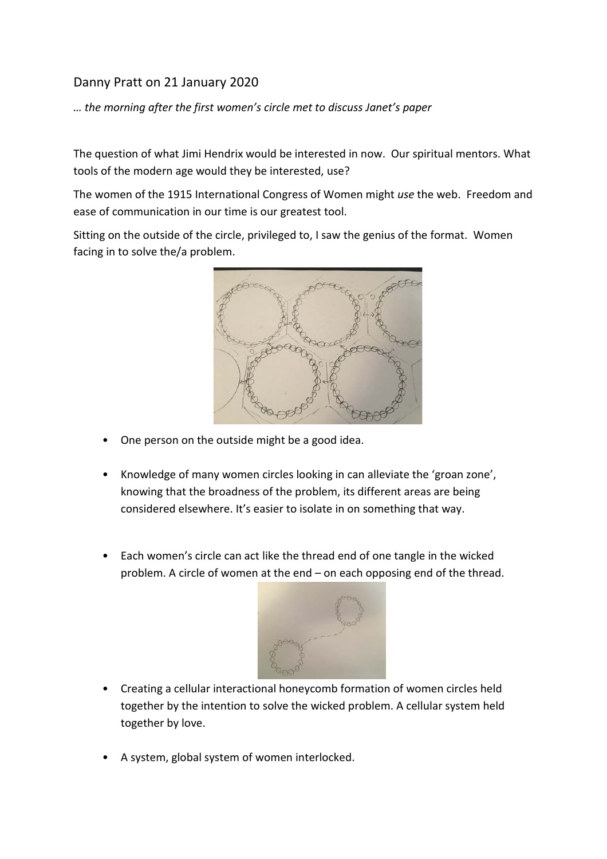## Danny Pratt on 21 January 2020

*… the morning after the first women's circle met to discuss Janet's paper*

The question of what Jimi Hendrix would be interested in now. Our spiritual mentors. What tools of the modern age would they be interested, use?

The women of the 1915 International Congress of Women might *use* the web. Freedom and ease of communication in our time is our greatest tool.

Sitting on the outside of the circle, privileged to, I saw the genius of the format. Women facing in to solve the/a problem.



- One person on the outside might be a good idea.
- Knowledge of many women circles looking in can alleviate the 'groan zone', knowing that the broadness of the problem, its different areas are being considered elsewhere. It's easier to isolate in on something that way.
- Each women's circle can act like the thread end of one tangle in the wicked problem. A circle of women at the end – on each opposing end of the thread.



- Creating a cellular interactional honeycomb formation of women circles held together by the intention to solve the wicked problem. A cellular system held together by love.
- A system, global system of women interlocked.